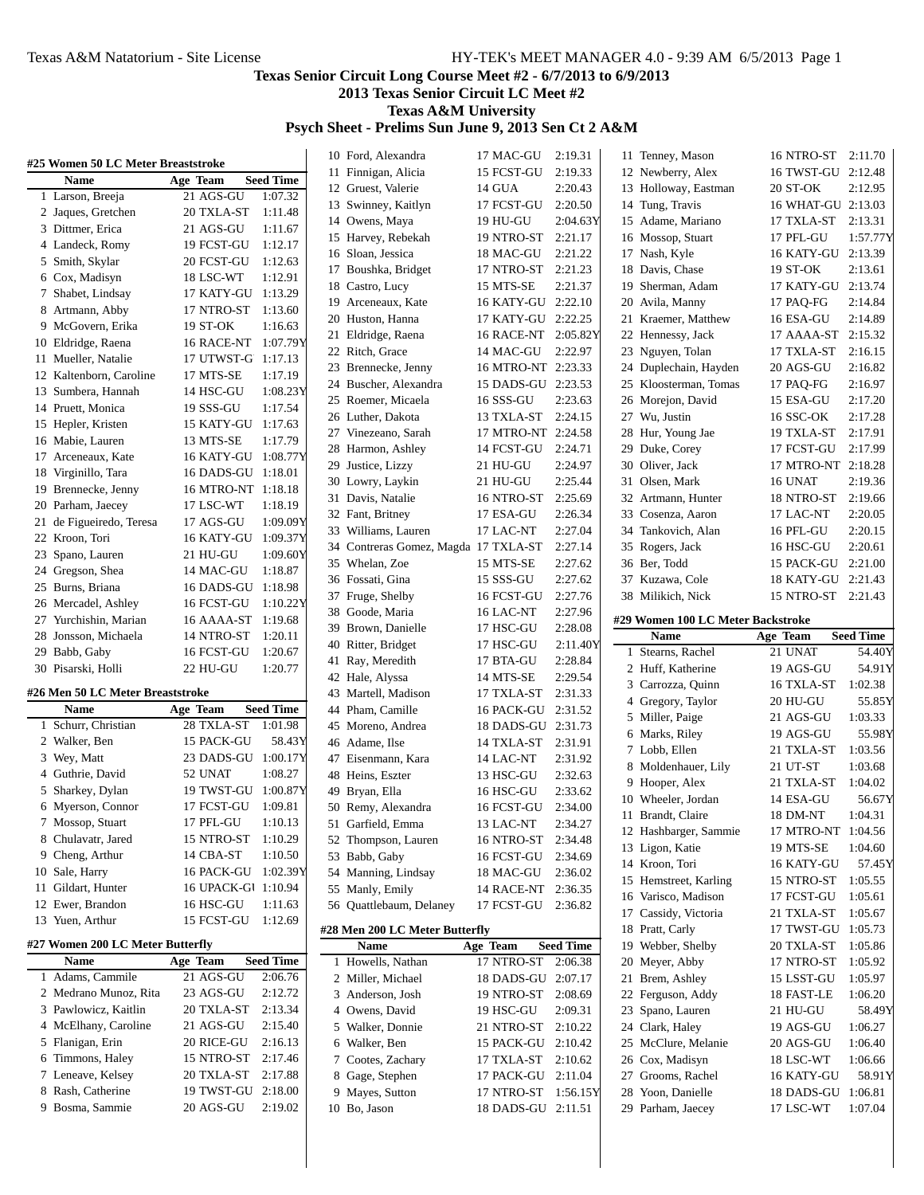# **Texas Senior Circuit Long Course Meet #2 - 6/7/2013 to 6/9/2013**

**2013 Texas Senior Circuit LC Meet #2**

**Texas A&M University**

### **Psych Sheet - Prelims Sun June 9, 2013 Sen Ct 2 A&M**

| #25 Women 50 LC Meter Breaststroke |                         |                     | 10 Ford, Alexandra                   | 17 MAC-GU               | 2:19.31            | 11 Tenney, Mason                  | 16 NTRO-ST 2:11.70 |                   |
|------------------------------------|-------------------------|---------------------|--------------------------------------|-------------------------|--------------------|-----------------------------------|--------------------|-------------------|
| Name                               | Age Team                | <b>Seed Time</b>    | 11 Finnigan, Alicia                  | 15 FCST-GU              | 2:19.33            | 12 Newberry, Alex                 | 16 TWST-GU 2:12.48 |                   |
| 1 Larson, Breeja                   | 21 AGS-GU               | 1:07.32             | 12 Gruest, Valerie                   | 14 GUA                  | 2:20.43            | 13 Holloway, Eastman              | 20 ST-OK           | 2:12.95           |
| 2 Jaques, Gretchen                 | 20 TXLA-ST              | 1:11.48             | 13 Swinney, Kaitlyn                  | 17 FCST-GU              | 2:20.50            | 14 Tung, Travis                   | 16 WHAT-GU 2:13.03 |                   |
| 3 Dittmer, Erica                   | 21 AGS-GU               | 1:11.67             | 14 Owens, Maya                       | 19 HU-GU                | 2:04.63Y           | 15 Adame, Mariano                 | 17 TXLA-ST         | 2:13.31           |
| 4 Landeck, Romy                    | 19 FCST-GU              | 1:12.17             | 15 Harvey, Rebekah                   | 19 NTRO-ST              | 2:21.17            | 16 Mossop, Stuart                 | 17 PFL-GU          | 1:57.77Y          |
|                                    | 20 FCST-GU              | 1:12.63             | 16 Sloan, Jessica                    | 18 MAC-GU               | 2:21.22            | 17 Nash, Kyle                     | 16 KATY-GU 2:13.39 |                   |
| 5 Smith, Skylar<br>6 Cox, Madisyn  | 18 LSC-WT               | 1:12.91             | 17 Boushka, Bridget                  | 17 NTRO-ST              | 2:21.23            | 18 Davis, Chase                   | 19 ST-OK           | 2:13.61           |
| 7 Shabet, Lindsay                  | 17 KATY-GU              | 1:13.29             | 18 Castro, Lucy                      | 15 MTS-SE               | 2:21.37            | 19 Sherman, Adam                  | 17 KATY-GU         | 2:13.74           |
| 8 Artmann, Abby                    | 17 NTRO-ST              | 1:13.60             | 19 Arceneaux, Kate                   | 16 KATY-GU 2:22.10      |                    | 20 Avila, Manny                   | 17 PAQ-FG          | 2:14.84           |
| 9 McGovern, Erika                  | 19 ST-OK                | 1:16.63             | 20 Huston, Hanna                     | 17 KATY-GU 2:22.25      |                    | 21 Kraemer, Matthew               | 16 ESA-GU          | 2:14.89           |
| 10 Eldridge, Raena                 | 16 RACE-NT              | 1:07.79Y            | 21 Eldridge, Raena                   | 16 RACE-NT 2:05.82Y     |                    | 22 Hennessy, Jack                 | 17 AAAA-ST 2:15.32 |                   |
| 11 Mueller, Natalie                | 17 UTWST-G 1:17.13      |                     | 22 Ritch, Grace                      | 14 MAC-GU               | 2:22.97            | 23 Nguyen, Tolan                  | 17 TXLA-ST         | 2:16.15           |
| 12 Kaltenborn, Caroline            | 17 MTS-SE               |                     | 23 Brennecke, Jenny                  | 16 MTRO-NT 2:23.33      |                    | 24 Duplechain, Hayden             | 20 AGS-GU          | 2:16.82           |
| 13 Sumbera, Hannah                 |                         | 1:17.19<br>1:08.23Y | 24 Buscher, Alexandra                | 15 DADS-GU 2:23.53      |                    | 25 Kloosterman, Tomas             | 17 PAQ-FG          | 2:16.97           |
| 14 Pruett, Monica                  | 14 HSC-GU<br>19 SSS-GU  | 1:17.54             | 25 Roemer, Micaela                   | 16 SSS-GU               | 2:23.63            | 26 Morejon, David                 | 15 ESA-GU          | 2:17.20           |
|                                    |                         | 1:17.63             | 26 Luther, Dakota                    | 13 TXLA-ST              | 2:24.15            | 27 Wu, Justin                     | 16 SSC-OK          | 2:17.28           |
| 15 Hepler, Kristen                 | 15 KATY-GU<br>13 MTS-SE |                     | 27 Vinezeano, Sarah                  | 17 MTRO-NT 2:24.58      |                    | 28 Hur, Young Jae                 | 19 TXLA-ST         | 2:17.91           |
| 16 Mabie, Lauren                   |                         | 1:17.79             | 28 Harmon, Ashley                    | 14 FCST-GU              | 2:24.71            | 29 Duke, Corey                    | 17 FCST-GU         | 2:17.99           |
| 17 Arceneaux, Kate                 | 16 KATY-GU              | 1:08.77Y            | 29 Justice, Lizzy                    | 21 HU-GU                | 2:24.97            | 30 Oliver, Jack                   | 17 MTRO-NT 2:18.28 |                   |
| 18 Virginillo, Tara                | 16 DADS-GU 1:18.01      |                     | 30 Lowry, Laykin                     | 21 HU-GU                | 2:25.44            | 31 Olsen, Mark                    | 16 UNAT            | 2:19.36           |
| 19 Brennecke, Jenny                | 16 MTRO-NT 1:18.18      |                     | 31 Davis, Natalie                    | 16 NTRO-ST              | 2:25.69            | 32 Artmann, Hunter                | 18 NTRO-ST         | 2:19.66           |
| 20 Parham, Jaecey                  | 17 LSC-WT               | 1:18.19             | 32 Fant, Britney                     | 17 ESA-GU               | 2:26.34            | 33 Cosenza, Aaron                 | 17 LAC-NT          | 2:20.05           |
| 21 de Figueiredo, Teresa           | 17 AGS-GU               | 1:09.09Y            | 33 Williams, Lauren                  | 17 LAC-NT               | 2:27.04            | 34 Tankovich, Alan                | 16 PFL-GU          | 2:20.15           |
| 22 Kroon, Tori                     | 16 KATY-GU              | 1:09.37Y            | 34 Contreras Gomez, Magda 17 TXLA-ST |                         | 2:27.14            | 35 Rogers, Jack                   | 16 HSC-GU          | 2:20.61           |
| 23 Spano, Lauren                   | 21 HU-GU                | 1:09.60Y            | 35 Whelan, Zoe                       | 15 MTS-SE               | 2:27.62            | 36 Ber, Todd                      | 15 PACK-GU 2:21.00 |                   |
| 24 Gregson, Shea                   | 14 MAC-GU               | 1:18.87             | 36 Fossati, Gina                     | 15 SSS-GU               | 2:27.62            | 37 Kuzawa, Cole                   | 18 KATY-GU 2:21.43 |                   |
| 25 Burns, Briana                   | 16 DADS-GU 1:18.98      |                     | 37 Fruge, Shelby                     | 16 FCST-GU              | 2:27.76            | 38 Milikich, Nick                 | 15 NTRO-ST 2:21.43 |                   |
| 26 Mercadel, Ashley                | 16 FCST-GU              | 1:10.22Y            | 38 Goode, Maria                      | 16 LAC-NT               | 2:27.96            |                                   |                    |                   |
| 27 Yurchishin, Marian              | 16 AAAA-ST              | 1:19.68             | 39 Brown, Danielle                   | 17 HSC-GU               | 2:28.08            | #29 Women 100 LC Meter Backstroke |                    |                   |
| 28 Jonsson, Michaela               |                         |                     |                                      |                         |                    |                                   |                    |                   |
|                                    | 14 NTRO-ST              | 1:20.11             | 40 Ritter, Bridget                   | 17 HSC-GU               | 2:11.40Y           | <b>Name</b>                       | Age Team           | <b>Seed Time</b>  |
| 29 Babb, Gaby                      | 16 FCST-GU              | 1:20.67             | 41 Ray, Meredith                     | 17 BTA-GU               | 2:28.84            | 1 Stearns, Rachel                 | 21 UNAT            | 54.40Y            |
| 30 Pisarski, Holli                 | 22 HU-GU                | 1:20.77             | 42 Hale, Alyssa                      | 14 MTS-SE               | 2:29.54            | 2 Huff, Katherine                 | 19 AGS-GU          |                   |
| #26 Men 50 LC Meter Breaststroke   |                         |                     | 43 Martell, Madison                  | 17 TXLA-ST              | 2:31.33            | 3 Carrozza, Quinn                 | 16 TXLA-ST         | 54.91Y<br>1:02.38 |
| <b>Name</b>                        | Age Team                | <b>Seed Time</b>    | 44 Pham, Camille                     | 16 PACK-GU              | 2:31.52            | 4 Gregory, Taylor                 | <b>20 HU-GU</b>    |                   |
| 1 Schurr, Christian                | 28 TXLA-ST              | 1:01.98             | 45 Moreno, Andrea                    | 18 DADS-GU 2:31.73      |                    | 5 Miller, Paige                   | 21 AGS-GU          | 55.85Y<br>1:03.33 |
| 2 Walker, Ben                      | 15 PACK-GU              | 58.43Y              | 46 Adame, Ilse                       | 14 TXLA-ST              | 2:31.91            | 6 Marks, Riley                    | 19 AGS-GU          | 55.98Y            |
| 3 Wey, Matt                        | 23 DADS-GU 1:00.17Y     |                     | 47 Eisenmann, Kara                   | 14 LAC-NT               | 2:31.92            | 7 Lobb, Ellen                     | 21 TXLA-ST         | 1:03.56           |
| 4 Guthrie, David                   | 52 UNAT                 | 1:08.27             | 48 Heins, Eszter                     | 13 HSC-GU               | 2:32.63            | 8 Moldenhauer, Lily               | 21 UT-ST           | 1:03.68           |
| 5 Sharkey, Dylan                   | 19 TWST-GU 1:00.87Y     |                     | 49 Bryan, Ella                       | 16 HSC-GU               | 2:33.62            | 9 Hooper, Alex                    | 21 TXLA-ST         | 1:04.02           |
| 6 Myerson, Connor                  | 17 FCST-GU 1:09.81      |                     | 50 Remy, Alexandra                   | 16 FCST-GU              | 2:34.00            | 10 Wheeler, Jordan                | 14 ESA-GU          | 56.67Y            |
| 7 Mossop, Stuart                   | 17 PFL-GU               | 1:10.13             | 51 Garfield, Emma                    |                         | 2:34.27            | 11 Brandt, Claire                 | 18 DM-NT           | 1:04.31           |
| 8 Chulavatr, Jared                 | 15 NTRO-ST              | 1:10.29             | 52 Thompson, Lauren                  | 13 LAC-NT<br>16 NTRO-ST |                    | 12 Hashbarger, Sammie             | 17 MTRO-NT 1:04.56 |                   |
| 9 Cheng, Arthur                    | 14 CBA-ST               | 1:10.50             |                                      | 16 FCST-GU              | 2:34.48<br>2:34.69 | 13 Ligon, Katie                   | 19 MTS-SE          | 1:04.60           |
| 10 Sale, Harry                     | 16 PACK-GU 1:02.39Y     |                     | 53 Babb, Gaby                        |                         |                    | 14 Kroon, Tori                    | 16 KATY-GU         | 57.45Y            |
| 11 Gildart, Hunter                 | 16 UPACK-G1 1:10.94     |                     | 54 Manning, Lindsay                  | 18 MAC-GU               | 2:36.02            | 15 Hemstreet, Karling             | 15 NTRO-ST         | 1:05.55           |
| 12 Ewer, Brandon                   | 16 HSC-GU               | 1:11.63             | 55 Manly, Emily                      | 14 RACE-NT 2:36.35      |                    | 16 Varisco, Madison               | 17 FCST-GU         | 1:05.61           |
| 13 Yuen, Arthur                    | 15 FCST-GU              | 1:12.69             | 56 Quattlebaum, Delaney              | 17 FCST-GU 2:36.82      |                    | 17 Cassidy, Victoria              | 21 TXLA-ST         | 1:05.67           |
|                                    |                         |                     | #28 Men 200 LC Meter Butterfly       |                         |                    | 18 Pratt, Carly                   | 17 TWST-GU 1:05.73 |                   |
| #27 Women 200 LC Meter Butterfly   |                         |                     | Name                                 | Age Team                | <b>Seed Time</b>   | 19 Webber, Shelby                 | 20 TXLA-ST         | 1:05.86           |
| Name                               | Age Team                | <b>Seed Time</b>    | 1 Howells, Nathan                    | 17 NTRO-ST 2:06.38      |                    | 20 Meyer, Abby                    | 17 NTRO-ST         | 1:05.92           |
| 1 Adams, Cammile                   | 21 AGS-GU               | 2:06.76             | 2 Miller, Michael                    | 18 DADS-GU 2:07.17      |                    | 21 Brem, Ashley                   | 15 LSST-GU         | 1:05.97           |
| 2 Medrano Munoz, Rita              | 23 AGS-GU               | 2:12.72             | 3 Anderson, Josh                     | 19 NTRO-ST 2:08.69      |                    | 22 Ferguson, Addy                 | 18 FAST-LE         | 1:06.20           |
| 3 Pawlowicz, Kaitlin               | 20 TXLA-ST              | 2:13.34             | 4 Owens, David                       | 19 HSC-GU               | 2:09.31            | 23 Spano, Lauren                  | 21 HU-GU           |                   |
| 4 McElhany, Caroline               | 21 AGS-GU               | 2:15.40             | 5 Walker, Donnie                     | 21 NTRO-ST              | 2:10.22            | 24 Clark, Haley                   | 19 AGS-GU          | 58.49Y<br>1:06.27 |
| 5 Flanigan, Erin                   | 20 RICE-GU              | 2:16.13             | 6 Walker, Ben                        | 15 PACK-GU 2:10.42      |                    | 25 McClure, Melanie               | 20 AGS-GU          | 1:06.40           |
| 6 Timmons, Haley                   | 15 NTRO-ST 2:17.46      |                     | 7 Cootes, Zachary                    | 17 TXLA-ST 2:10.62      |                    | 26 Cox, Madisyn                   | 18 LSC-WT          | 1:06.66           |
| 7 Leneave, Kelsey                  | 20 TXLA-ST              | 2:17.88             | 8 Gage, Stephen                      | 17 PACK-GU 2:11.04      |                    | 27 Grooms, Rachel                 | 16 KATY-GU         |                   |
| 8 Rash, Catherine                  | 19 TWST-GU 2:18.00      |                     | 9 Mayes, Sutton                      | 17 NTRO-ST 1:56.15Y     |                    | 28 Yoon, Danielle                 | 18 DADS-GU 1:06.81 | 58.91Y            |
| 9 Bosma, Sammie                    | 20 AGS-GU               | 2:19.02             | 10 Bo, Jason                         | 18 DADS-GU 2:11.51      |                    | 29 Parham, Jaecey                 | 17 LSC-WT          | 1:07.04           |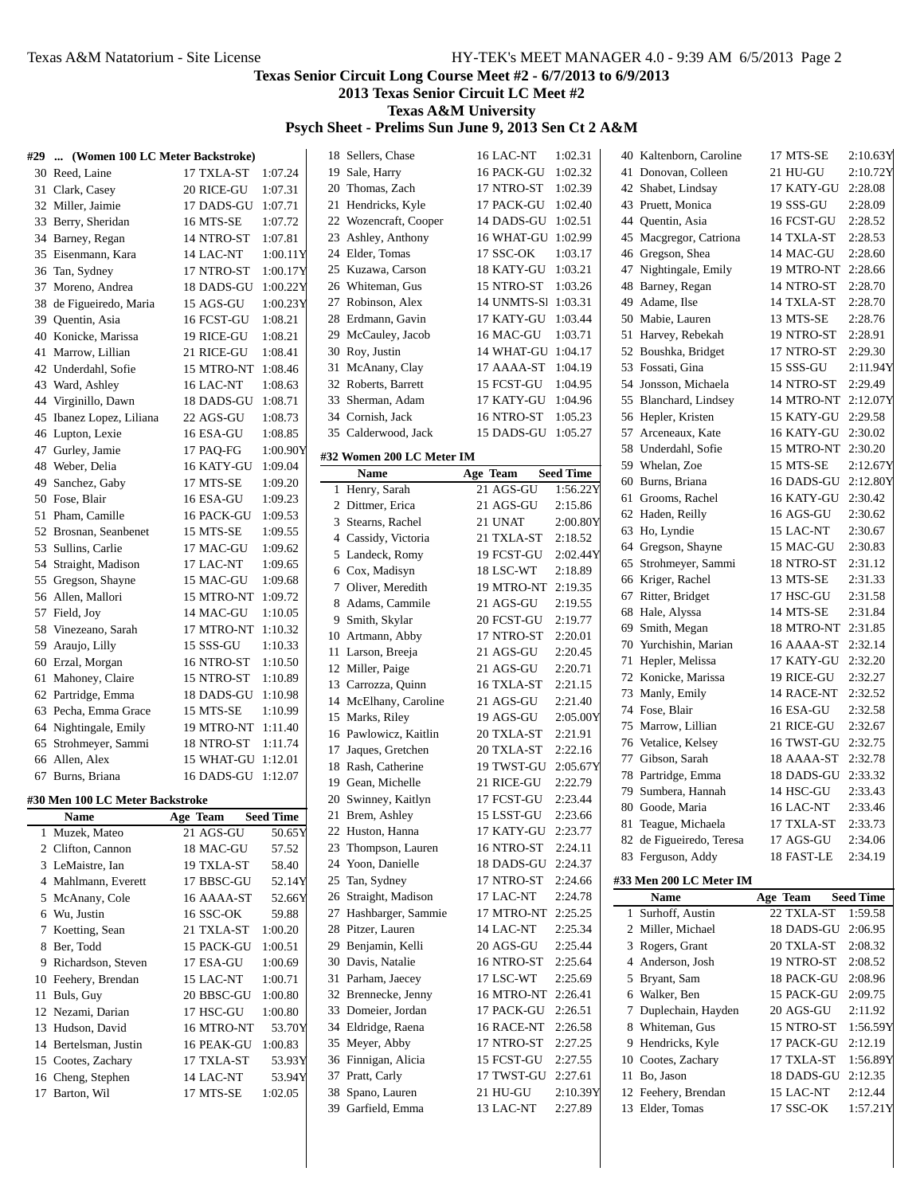#### **Texas Senior Circuit Long Course Meet #2 - 6/7/2013 to 6/9/2013**

**2013 Texas Senior Circuit LC Meet #2**

**Texas A&M University**

#### **Psych Sheet - Prelims Sun June 9, 2013 Sen Ct 2 A&M**

|    | #29  (Women 100 LC Meter Backstroke) |                         |                    | 18 Sellers, Chase         | 16 LAC-NT           | 1:02.31          |    | 40 Kaltenborn, Caroline  | 17 MTS-SE           | 2:10.63Y         |
|----|--------------------------------------|-------------------------|--------------------|---------------------------|---------------------|------------------|----|--------------------------|---------------------|------------------|
|    | 30 Reed, Laine                       | 17 TXLA-ST              | 1:07.24            | 19 Sale, Harry            | 16 PACK-GU          | 1:02.32          |    | 41 Donovan, Colleen      | 21 HU-GU            | 2:10.72Y         |
|    | 31 Clark, Casey                      | 20 RICE-GU              | 1:07.31            | 20 Thomas, Zach           | 17 NTRO-ST          | 1:02.39          |    | 42 Shabet, Lindsay       | 17 KATY-GU          | 2:28.08          |
|    | 32 Miller, Jaimie                    | 17 DADS-GU 1:07.71      |                    | 21 Hendricks, Kyle        | 17 PACK-GU 1:02.40  |                  |    | 43 Pruett, Monica        | 19 SSS-GU           | 2:28.09          |
|    | 33 Berry, Sheridan                   | 16 MTS-SE               | 1:07.72            | 22 Wozencraft, Cooper     | 14 DADS-GU 1:02.51  |                  | 44 | Quentin, Asia            | 16 FCST-GU          | 2:28.52          |
|    | 34 Barney, Regan                     | 14 NTRO-ST              | 1:07.81            | 23 Ashley, Anthony        | 16 WHAT-GU 1:02.99  |                  | 45 | Macgregor, Catriona      | 14 TXLA-ST          | 2:28.53          |
|    | 35 Eisenmann, Kara                   | 14 LAC-NT               | 1:00.11Y           | 24 Elder, Tomas           | 17 SSC-OK           | 1:03.17          |    | 46 Gregson, Shea         | 14 MAC-GU           | 2:28.60          |
|    | 36 Tan, Sydney                       | 17 NTRO-ST              | 1:00.17Y           | 25 Kuzawa, Carson         | 18 KATY-GU 1:03.21  |                  |    | 47 Nightingale, Emily    | 19 MTRO-NT 2:28.66  |                  |
|    | 37 Moreno, Andrea                    | 18 DADS-GU 1:00.22Y     |                    | 26 Whiteman, Gus          | 15 NTRO-ST 1:03.26  |                  |    | 48 Barney, Regan         | 14 NTRO-ST          | 2:28.70          |
|    | 38 de Figueiredo, Maria              | 15 AGS-GU               | 1:00.23Y           | 27 Robinson, Alex         | 14 UNMTS-S1 1:03.31 |                  | 49 | Adame, Ilse              | 14 TXLA-ST          | 2:28.70          |
|    | 39 Quentin, Asia                     | 16 FCST-GU              | 1:08.21            | 28 Erdmann, Gavin         | 17 KATY-GU 1:03.44  |                  |    | 50 Mabie, Lauren         | 13 MTS-SE           | 2:28.76          |
|    | 40 Konicke, Marissa                  | 19 RICE-GU              | 1:08.21            | 29 McCauley, Jacob        | 16 MAC-GU           | 1:03.71          |    | 51 Harvey, Rebekah       | 19 NTRO-ST          | 2:28.91          |
|    | 41 Marrow, Lillian                   | 21 RICE-GU              | 1:08.41            | 30 Roy, Justin            | 14 WHAT-GU 1:04.17  |                  |    | 52 Boushka, Bridget      | 17 NTRO-ST          | 2:29.30          |
|    | 42 Underdahl, Sofie                  | 15 MTRO-NT 1:08.46      |                    | 31 McAnany, Clay          | 17 AAAA-ST 1:04.19  |                  |    | 53 Fossati, Gina         | 15 SSS-GU           | 2:11.94Y         |
|    | 43 Ward, Ashley                      | 16 LAC-NT               | 1:08.63            | 32 Roberts, Barrett       | 15 FCST-GU          | 1:04.95          |    | 54 Jonsson, Michaela     | 14 NTRO-ST          | 2:29.49          |
|    | 44 Virginillo, Dawn                  | 18 DADS-GU              | 1:08.71            | 33 Sherman, Adam          | 17 KATY-GU 1:04.96  |                  |    | 55 Blanchard, Lindsey    | 14 MTRO-NT 2:12.07Y |                  |
|    | 45 Ibanez Lopez, Liliana             | 22 AGS-GU               | 1:08.73            | 34 Cornish, Jack          | 16 NTRO-ST 1:05.23  |                  |    | 56 Hepler, Kristen       | 15 KATY-GU 2:29.58  |                  |
|    | 46 Lupton, Lexie                     | 16 ESA-GU               | 1:08.85            | 35 Calderwood, Jack       | 15 DADS-GU 1:05.27  |                  |    | 57 Arceneaux, Kate       | 16 KATY-GU 2:30.02  |                  |
|    | 47 Gurley, Jamie                     | 17 PAQ-FG               | 1:00.901           |                           |                     |                  | 58 | Underdahl, Sofie         | 15 MTRO-NT 2:30.20  |                  |
| 48 | Weber, Delia                         | 16 KATY-GU              | 1:09.04            | #32 Women 200 LC Meter IM |                     |                  |    | 59 Whelan, Zoe           | 15 MTS-SE           | 2:12.67Y         |
| 49 | Sanchez, Gaby                        | 17 MTS-SE               | 1:09.20            | <b>Name</b>               | Age Team            | <b>Seed Time</b> | 60 | Burns, Briana            | 16 DADS-GU 2:12.80Y |                  |
|    | 50 Fose, Blair                       | 16 ESA-GU               | 1:09.23            | 1 Henry, Sarah            | 21 AGS-GU           | 1:56.22Y         |    | 61 Grooms, Rachel        | 16 KATY-GU 2:30.42  |                  |
|    | 51 Pham, Camille                     | 16 PACK-GU              | 1:09.53            | 2 Dittmer, Erica          | 21 AGS-GU           | 2:15.86          |    | 62 Haden, Reilly         | 16 AGS-GU           | 2:30.62          |
|    | 52 Brosnan, Seanbenet                | 15 MTS-SE               | 1:09.55            | 3 Stearns, Rachel         | 21 UNAT             | 2:00.80Y         |    | 63 Ho, Lyndie            | 15 LAC-NT           | 2:30.67          |
|    | 53 Sullins, Carlie                   | 17 MAC-GU               | 1:09.62            | 4 Cassidy, Victoria       | 21 TXLA-ST          | 2:18.52          |    | 64 Gregson, Shayne       | 15 MAC-GU           | 2:30.83          |
|    | 54 Straight, Madison                 | 17 LAC-NT               | 1:09.65            | 5 Landeck, Romy           | 19 FCST-GU          | 2:02.44Y         |    | 65 Strohmeyer, Sammi     | 18 NTRO-ST          | 2:31.12          |
|    | 55 Gregson, Shayne                   | 15 MAC-GU               | 1:09.68            | 6 Cox, Madisyn            | 18 LSC-WT           | 2:18.89          |    | 66 Kriger, Rachel        | 13 MTS-SE           | 2:31.33          |
|    | 56 Allen, Mallori                    | 15 MTRO-NT 1:09.72      |                    | 7 Oliver, Meredith        | 19 MTRO-NT 2:19.35  |                  |    | 67 Ritter, Bridget       | 17 HSC-GU           | 2:31.58          |
|    | 57 Field, Joy                        | 14 MAC-GU               | 1:10.05            | 8 Adams, Cammile          | 21 AGS-GU           | 2:19.55          |    | 68 Hale, Alyssa          | 14 MTS-SE           | 2:31.84          |
|    | 58 Vinezeano, Sarah                  | 17 MTRO-NT 1:10.32      |                    | 9 Smith, Skylar           | 20 FCST-GU          | 2:19.77          |    | 69 Smith, Megan          | 18 MTRO-NT 2:31.85  |                  |
|    |                                      |                         |                    | 10 Artmann, Abby          | 17 NTRO-ST          | 2:20.01          |    | 70 Yurchishin, Marian    | 16 AAAA-ST 2:32.14  |                  |
|    | 59 Araujo, Lilly                     | 15 SSS-GU               | 1:10.33            | 11 Larson, Breeja         | 21 AGS-GU           | 2:20.45          |    | 71 Hepler, Melissa       | 17 KATY-GU 2:32.20  |                  |
|    | 60 Erzal, Morgan                     | 16 NTRO-ST              | 1:10.50            | 12 Miller, Paige          | 21 AGS-GU           | 2:20.71          |    | 72 Konicke, Marissa      | 19 RICE-GU          | 2:32.27          |
|    | 61 Mahoney, Claire                   | 15 NTRO-ST 1:10.89      |                    | 13 Carrozza, Quinn        | 16 TXLA-ST          | 2:21.15          |    |                          |                     | 2:32.52          |
|    | 62 Partridge, Emma                   | 18 DADS-GU 1:10.98      |                    | 14 McElhany, Caroline     | 21 AGS-GU           | 2:21.40          |    | 73 Manly, Emily          | 14 RACE-NT          |                  |
|    | 63 Pecha, Emma Grace                 | 15 MTS-SE               | 1:10.99            | 15 Marks, Riley           | 19 AGS-GU           | 2:05.00Y         |    | 74 Fose, Blair           | 16 ESA-GU           | 2:32.58          |
|    | 64 Nightingale, Emily                | 19 MTRO-NT 1:11.40      |                    | 16 Pawlowicz, Kaitlin     | 20 TXLA-ST          | 2:21.91          |    | 75 Marrow, Lillian       | 21 RICE-GU          | 2:32.67          |
|    | 65 Strohmeyer, Sammi                 | 18 NTRO-ST 1:11.74      |                    | 17 Jaques, Gretchen       | 20 TXLA-ST          | 2:22.16          |    | 76 Vetalice, Kelsey      | 16 TWST-GU 2:32.75  |                  |
|    | 66 Allen, Alex                       | 15 WHAT-GU 1:12.01      |                    | 18 Rash, Catherine        | 19 TWST-GU 2:05.67Y |                  |    | 77 Gibson, Sarah         | 18 AAAA-ST 2:32.78  |                  |
|    | 67 Burns, Briana                     | 16 DADS-GU 1:12.07      |                    | 19 Gean, Michelle         | 21 RICE-GU          | 2:22.79          |    | 78 Partridge, Emma       | 18 DADS-GU 2:33.32  |                  |
|    | #30 Men 100 LC Meter Backstroke      |                         |                    | 20 Swinney, Kaitlyn       | 17 FCST-GU          | 2:23.44          | 79 | Sumbera, Hannah          | 14 HSC-GU           | 2:33.43          |
|    | Name                                 | Age Team                | <b>Seed Time</b>   | 21 Brem. Ashlev           | 15 LSST-GU          | 2:23.66          |    | 80 Goode, Maria          | 16 LAC-NT           | 2:33.46          |
|    | 1 Muzek, Mateo                       | 21 AGS-GU               | 50.65Y             | 22 Huston, Hanna          | 17 KATY-GU 2:23.77  |                  |    | 81 Teague, Michaela      | 17 TXLA-ST          | 2:33.73          |
|    | 2 Clifton, Cannon                    | 18 MAC-GU               | 57.52              | 23 Thompson, Lauren       | 16 NTRO-ST 2:24.11  |                  |    | 82 de Figueiredo, Teresa | 17 AGS-GU           | 2:34.06          |
|    | 3 LeMaistre, Ian                     | 19 TXLA-ST              | 58.40              | 24 Yoon, Danielle         | 18 DADS-GU 2:24.37  |                  |    | 83 Ferguson, Addy        | 18 FAST-LE          | 2:34.19          |
|    | 4 Mahlmann, Everett                  | 17 BBSC-GU              | 52.14Y             | 25 Tan, Sydney            | 17 NTRO-ST 2:24.66  |                  |    | #33 Men 200 LC Meter IM  |                     |                  |
|    | 5 McAnany, Cole                      | 16 AAAA-ST              | 52.66Y             | 26 Straight, Madison      | 17 LAC-NT           | 2:24.78          |    | Name                     | Age Team            | <b>Seed Time</b> |
|    | 6 Wu, Justin                         | 16 SSC-OK               | 59.88              | 27 Hashbarger, Sammie     | 17 MTRO-NT 2:25.25  |                  |    | 1 Surhoff, Austin        | 22 TXLA-ST          | 1:59.58          |
|    | 7 Koetting, Sean                     | 21 TXLA-ST              | 1:00.20            | 28 Pitzer, Lauren         | 14 LAC-NT           | 2:25.34          |    | 2 Miller, Michael        | 18 DADS-GU 2:06.95  |                  |
|    | 8 Ber, Todd                          | 15 PACK-GU              | 1:00.51            | 29 Benjamin, Kelli        | 20 AGS-GU           | 2:25.44          |    | 3 Rogers, Grant          | 20 TXLA-ST 2:08.32  |                  |
|    | 9 Richardson, Steven                 | 17 ESA-GU               | 1:00.69            | 30 Davis, Natalie         | 16 NTRO-ST          | 2:25.64          |    | 4 Anderson, Josh         | 19 NTRO-ST 2:08.52  |                  |
|    |                                      |                         |                    | 31 Parham, Jaecey         | 17 LSC-WT           | 2:25.69          |    | 5 Bryant, Sam            | 18 PACK-GU 2:08.96  |                  |
|    | 10 Feehery, Brendan<br>11 Buls, Guy  | 15 LAC-NT<br>20 BBSC-GU | 1:00.71<br>1:00.80 | 32 Brennecke, Jenny       | 16 MTRO-NT 2:26.41  |                  |    | 6 Walker, Ben            | 15 PACK-GU 2:09.75  |                  |
|    |                                      |                         |                    |                           |                     |                  |    |                          |                     |                  |
|    | 12 Nezami, Darian                    | 17 HSC-GU               | 1:00.80            | 33 Domeier, Jordan        | 17 PACK-GU 2:26.51  |                  |    | 7 Duplechain, Hayden     | 20 AGS-GU           | 2:11.92          |
|    | 13 Hudson, David                     | 16 MTRO-NT              | 53.70Y             | 34 Eldridge, Raena        | 16 RACE-NT 2:26.58  |                  |    | 8 Whiteman, Gus          | 15 NTRO-ST          | 1:56.59Y         |
|    | 14 Bertelsman, Justin                | 16 PEAK-GU              | 1:00.83            | 35 Meyer, Abby            | 17 NTRO-ST          | 2:27.25          |    | 9 Hendricks, Kyle        | 17 PACK-GU 2:12.19  |                  |
|    | 15 Cootes, Zachary                   | 17 TXLA-ST              | 53.93Y             | 36 Finnigan, Alicia       | 15 FCST-GU 2:27.55  |                  |    | 10 Cootes, Zachary       | 17 TXLA-ST          | 1:56.89Y         |
|    | 16 Cheng, Stephen                    | 14 LAC-NT               | 53.94Y             | 37 Pratt, Carly           | 17 TWST-GU 2:27.61  |                  |    | 11 Bo, Jason             | 18 DADS-GU 2:12.35  |                  |
|    | 17 Barton, Wil                       | 17 MTS-SE               | 1:02.05            | 38 Spano, Lauren          | 21 HU-GU            | 2:10.39Y         |    | 12 Feehery, Brendan      | 15 LAC-NT           | 2:12.44          |
|    |                                      |                         |                    | 39 Garfield, Emma         | 13 LAC-NT           | 2:27.89          |    | 13 Elder, Tomas          | 17 SSC-OK           | 1:57.21Y         |
|    |                                      |                         |                    |                           |                     |                  |    |                          |                     |                  |